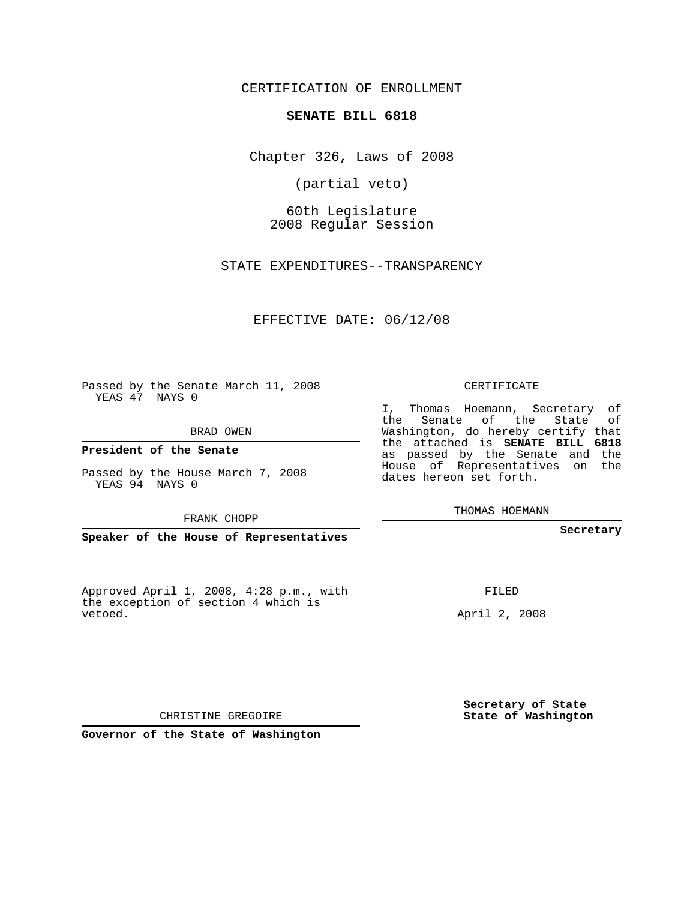CERTIFICATION OF ENROLLMENT

## **SENATE BILL 6818**

Chapter 326, Laws of 2008

(partial veto)

60th Legislature 2008 Regular Session

STATE EXPENDITURES--TRANSPARENCY

EFFECTIVE DATE: 06/12/08

Passed by the Senate March 11, 2008 YEAS 47 NAYS 0

BRAD OWEN

**President of the Senate**

Passed by the House March 7, 2008 YEAS 94 NAYS 0

FRANK CHOPP

**Speaker of the House of Representatives**

Approved April 1, 2008, 4:28 p.m., with the exception of section 4 which is vetoed.

CERTIFICATE

I, Thomas Hoemann, Secretary of the Senate of the State of Washington, do hereby certify that the attached is **SENATE BILL 6818** as passed by the Senate and the House of Representatives on the dates hereon set forth.

THOMAS HOEMANN

**Secretary**

FILED

April 2, 2008

**Secretary of State State of Washington**

CHRISTINE GREGOIRE

**Governor of the State of Washington**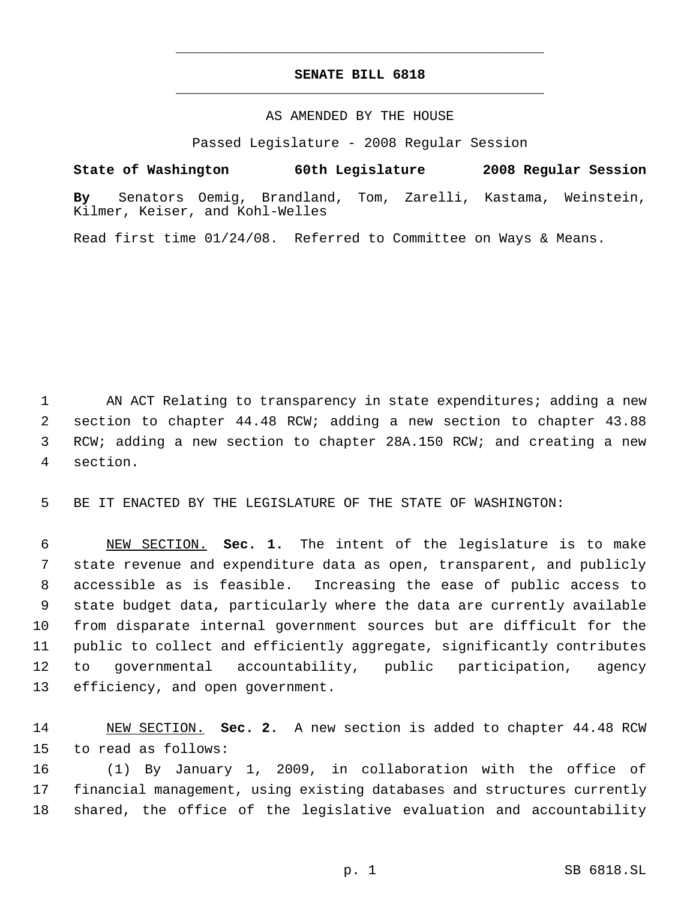## **SENATE BILL 6818** \_\_\_\_\_\_\_\_\_\_\_\_\_\_\_\_\_\_\_\_\_\_\_\_\_\_\_\_\_\_\_\_\_\_\_\_\_\_\_\_\_\_\_\_\_

\_\_\_\_\_\_\_\_\_\_\_\_\_\_\_\_\_\_\_\_\_\_\_\_\_\_\_\_\_\_\_\_\_\_\_\_\_\_\_\_\_\_\_\_\_

AS AMENDED BY THE HOUSE

Passed Legislature - 2008 Regular Session

**State of Washington 60th Legislature 2008 Regular Session By** Senators Oemig, Brandland, Tom, Zarelli, Kastama, Weinstein, Kilmer, Keiser, and Kohl-Welles

Read first time 01/24/08. Referred to Committee on Ways & Means.

1 AN ACT Relating to transparency in state expenditures; adding a new section to chapter 44.48 RCW; adding a new section to chapter 43.88 RCW; adding a new section to chapter 28A.150 RCW; and creating a new section.

BE IT ENACTED BY THE LEGISLATURE OF THE STATE OF WASHINGTON:

 NEW SECTION. **Sec. 1.** The intent of the legislature is to make state revenue and expenditure data as open, transparent, and publicly accessible as is feasible. Increasing the ease of public access to state budget data, particularly where the data are currently available from disparate internal government sources but are difficult for the public to collect and efficiently aggregate, significantly contributes to governmental accountability, public participation, agency efficiency, and open government.

 NEW SECTION. **Sec. 2.** A new section is added to chapter 44.48 RCW to read as follows:

 (1) By January 1, 2009, in collaboration with the office of financial management, using existing databases and structures currently shared, the office of the legislative evaluation and accountability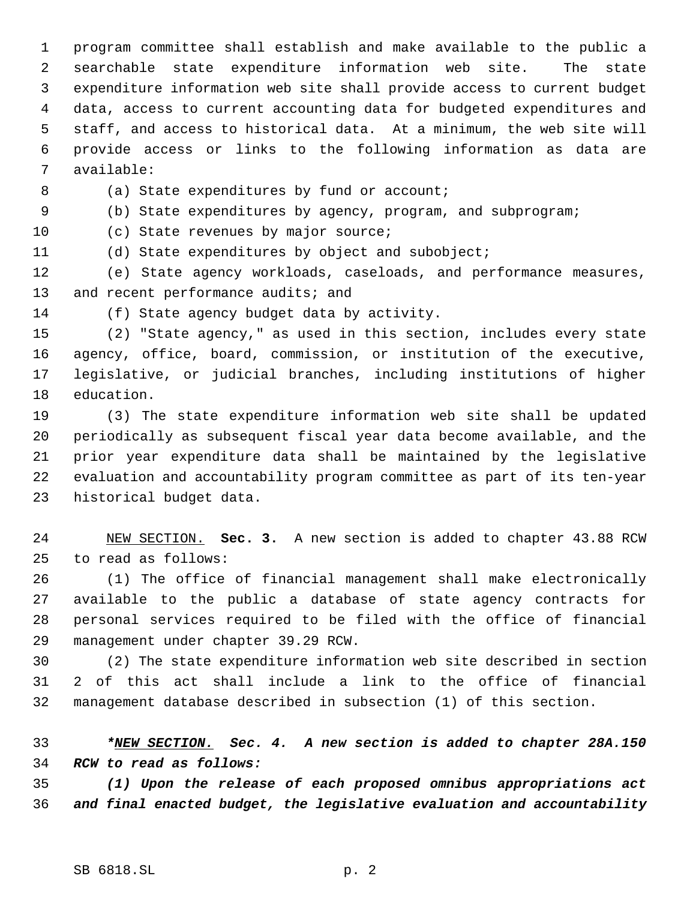program committee shall establish and make available to the public a searchable state expenditure information web site. The state expenditure information web site shall provide access to current budget data, access to current accounting data for budgeted expenditures and staff, and access to historical data. At a minimum, the web site will provide access or links to the following information as data are available:

8 (a) State expenditures by fund or account;

(b) State expenditures by agency, program, and subprogram;

10 (c) State revenues by major source;

(d) State expenditures by object and subobject;

 (e) State agency workloads, caseloads, and performance measures, 13 and recent performance audits; and

(f) State agency budget data by activity.

 (2) "State agency," as used in this section, includes every state agency, office, board, commission, or institution of the executive, legislative, or judicial branches, including institutions of higher education.

 (3) The state expenditure information web site shall be updated periodically as subsequent fiscal year data become available, and the prior year expenditure data shall be maintained by the legislative evaluation and accountability program committee as part of its ten-year historical budget data.

 NEW SECTION. **Sec. 3.** A new section is added to chapter 43.88 RCW to read as follows:

 (1) The office of financial management shall make electronically available to the public a database of state agency contracts for personal services required to be filed with the office of financial management under chapter 39.29 RCW.

 (2) The state expenditure information web site described in section 2 of this act shall include a link to the office of financial management database described in subsection (1) of this section.

 *\*NEW SECTION. Sec. 4. A new section is added to chapter 28A.150 RCW to read as follows:*

 *(1) Upon the release of each proposed omnibus appropriations act and final enacted budget, the legislative evaluation and accountability*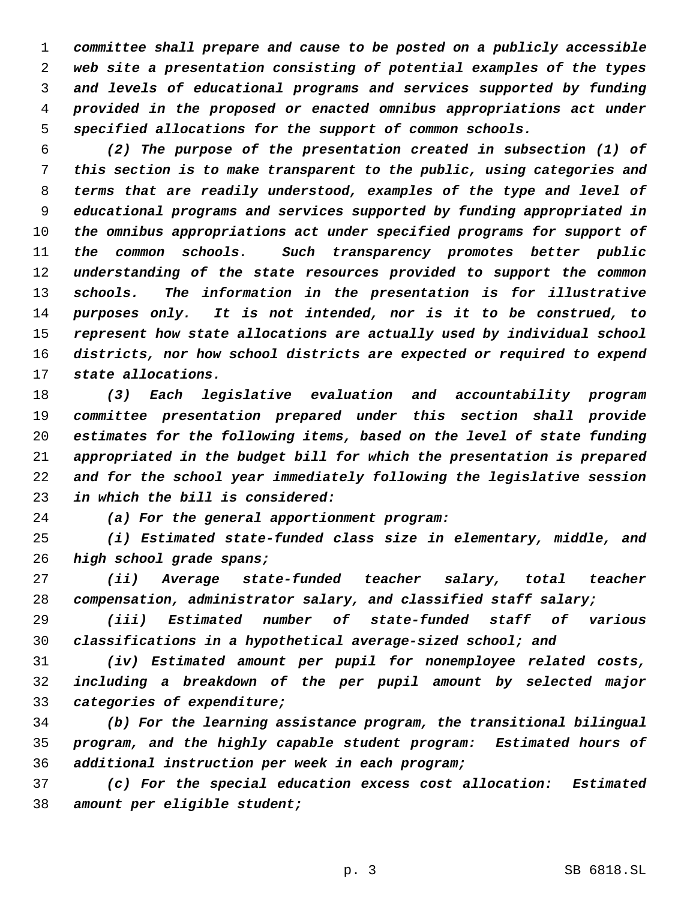*committee shall prepare and cause to be posted on a publicly accessible web site a presentation consisting of potential examples of the types and levels of educational programs and services supported by funding provided in the proposed or enacted omnibus appropriations act under specified allocations for the support of common schools.*

 *(2) The purpose of the presentation created in subsection (1) of this section is to make transparent to the public, using categories and terms that are readily understood, examples of the type and level of educational programs and services supported by funding appropriated in the omnibus appropriations act under specified programs for support of the common schools. Such transparency promotes better public understanding of the state resources provided to support the common schools. The information in the presentation is for illustrative purposes only. It is not intended, nor is it to be construed, to represent how state allocations are actually used by individual school districts, nor how school districts are expected or required to expend state allocations.*

 *(3) Each legislative evaluation and accountability program committee presentation prepared under this section shall provide estimates for the following items, based on the level of state funding appropriated in the budget bill for which the presentation is prepared and for the school year immediately following the legislative session in which the bill is considered:*

*(a) For the general apportionment program:*

 *(i) Estimated state-funded class size in elementary, middle, and high school grade spans;*

 *(ii) Average state-funded teacher salary, total teacher compensation, administrator salary, and classified staff salary;*

 *(iii) Estimated number of state-funded staff of various classifications in a hypothetical average-sized school; and*

 *(iv) Estimated amount per pupil for nonemployee related costs, including a breakdown of the per pupil amount by selected major categories of expenditure;*

 *(b) For the learning assistance program, the transitional bilingual program, and the highly capable student program: Estimated hours of additional instruction per week in each program;*

 *(c) For the special education excess cost allocation: Estimated amount per eligible student;*